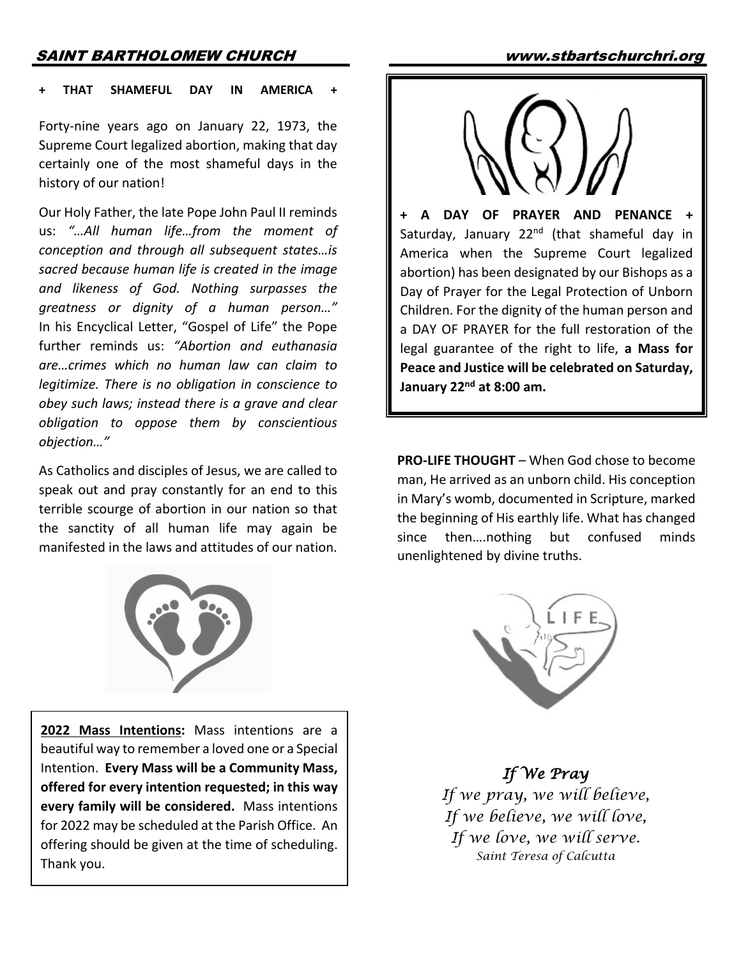## SAINT BARTHOLOMEW CHURCH www.stbartschurchri.org

#### **THAT SHAMEFUL DAY IN AMERICA**

Forty-nine years ago on January 22, 1973, the Supreme Court legalized abortion, making that day certainly one of the most shameful days in the history of our nation!

Our Holy Father, the late Pope John Paul II reminds us: *"…All human life…from the moment of conception and through all subsequent states…is sacred because human life is created in the image and likeness of God. Nothing surpasses the greatness or dignity of a human person…"* In his Encyclical Letter, "Gospel of Life" the Pope further reminds us: *"Abortion and euthanasia are…crimes which no human law can claim to legitimize. There is no obligation in conscience to obey such laws; instead there is a grave and clear obligation to oppose them by conscientious objection…"*

As Catholics and disciples of Jesus, we are called to speak out and pray constantly for an end to this terrible scourge of abortion in our nation so that the sanctity of all human life may again be manifested in the laws and attitudes of our nation.



**2022 Mass Intentions:** Mass intentions are a beautiful way to remember a loved one or a Special Intention. **Every Mass will be a Community Mass, offered for every intention requested; in this way every family will be considered.** Mass intentions for 2022 may be scheduled at the Parish Office. An offering should be given at the time of scheduling. Thank you.



**+ A DAY OF PRAYER AND PENANCE +**  Saturday, January 22<sup>nd</sup> (that shameful day in America when the Supreme Court legalized abortion) has been designated by our Bishops as a Day of Prayer for the Legal Protection of Unborn Children. For the dignity of the human person and a DAY OF PRAYER for the full restoration of the legal guarantee of the right to life, **a Mass for Peace and Justice will be celebrated on Saturday, January 22nd at 8:00 am.**

**PRO-LIFE THOUGHT** – When God chose to become man, He arrived as an unborn child. His conception in Mary's womb, documented in Scripture, marked the beginning of His earthly life. What has changed since then….nothing but confused minds unenlightened by divine truths.



*If We Pray If we pray, we will believe, If we believe, we will love, If we love, we will serve. Saint Teresa of Calcutta*